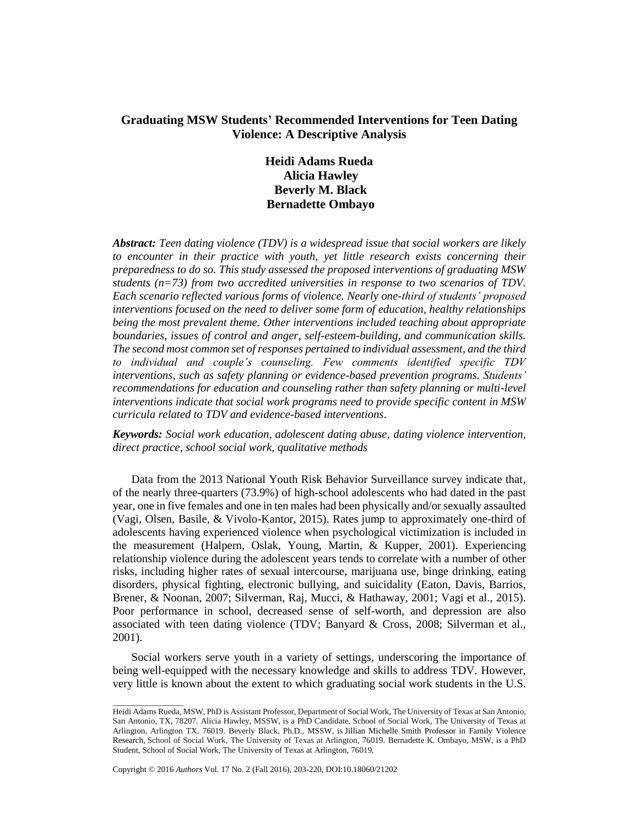# **Graduating MSW Students' Recommended Interventions for Teen Dating Violence: A Descriptive Analysis**

# **Heidi Adams Rueda Alicia Hawley Beverly M. Black Bernadette Ombayo**

*Abstract: Teen dating violence (TDV) is a widespread issue that social workers are likely*  to encounter in their practice with youth, yet little research exists concerning their *preparedness to do so. This study assessed the proposed interventions of graduating MSW students (n=73) from two accredited universities in response to two scenarios of TDV. Each scenario reflected various forms of violence. Nearly one-third of students' proposed interventions focused on the need to deliver some form of education, healthy relationships being the most prevalent theme. Other interventions included teaching about appropriate boundaries, issues of control and anger, self-esteem-building, and communication skills. The second most common set of responses pertained to individual assessment, and the third to individual and couple's counseling. Few comments identified specific TDV interventions, such as safety planning or evidence-based prevention programs. Students' recommendations for education and counseling rather than safety planning or multi-level interventions indicate that social work programs need to provide specific content in MSW curricula related to TDV and evidence-based interventions*.

*Keywords: Social work education, adolescent dating abuse, dating violence intervention, direct practice, school social work, qualitative methods*

Data from the 2013 National Youth Risk Behavior Surveillance survey indicate that, of the nearly three-quarters (73.9%) of high-school adolescents who had dated in the past year, one in five females and one in ten males had been physically and/or sexually assaulted (Vagi, Olsen, Basile, & Vivolo-Kantor, 2015). Rates jump to approximately one-third of adolescents having experienced violence when psychological victimization is included in the measurement (Halpern, Oslak, Young, Martin, & Kupper, 2001). Experiencing relationship violence during the adolescent years tends to correlate with a number of other risks, including higher rates of sexual intercourse, marijuana use, binge drinking, eating disorders, physical fighting, electronic bullying, and suicidality (Eaton, Davis, Barrios, Brener, & Noonan, 2007; Silverman, Raj, Mucci, & Hathaway, 2001; Vagi et al., 2015). Poor performance in school, decreased sense of self-worth, and depression are also associated with teen dating violence (TDV; Banyard & Cross, 2008; Silverman et al., 2001).

Social workers serve youth in a variety of settings, underscoring the importance of being well-equipped with the necessary knowledge and skills to address TDV. However, very little is known about the extent to which graduating social work students in the U.S.

Copyright © 2016 *Authors* Vol. 17 No. 2 (Fall 2016), 203-220, DOI:10.18060/21202

 $\overline{\phantom{a}}$  , where  $\overline{\phantom{a}}$ 

Heidi Adams Rueda, MSW, PhD is Assistant Professor, Department of Social Work, The University of Texas at San Antonio, San Antonio, TX, 78207. Alicia Hawley, MSSW, is a PhD Candidate, School of Social Work, The University of Texas at Arlington, Arlington TX, 76019. Beverly Black, Ph.D., MSSW, is Jillian Michelle Smith Professor in Family Violence Research, School of Social Work, The University of Texas at Arlington, 76019. Bernadette K. Ombayo, MSW, is a PhD Student, School of Social Work, The University of Texas at Arlington, 76019.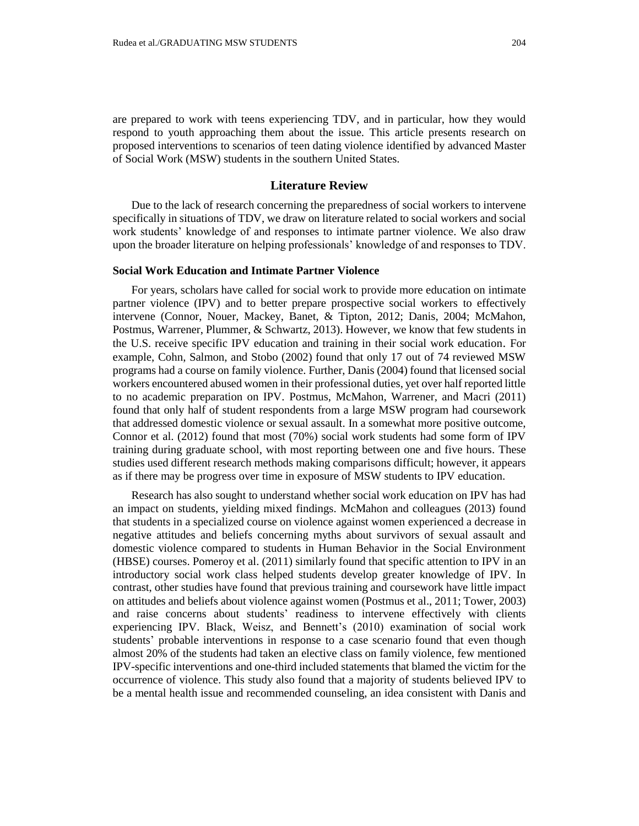are prepared to work with teens experiencing TDV, and in particular, how they would respond to youth approaching them about the issue. This article presents research on proposed interventions to scenarios of teen dating violence identified by advanced Master of Social Work (MSW) students in the southern United States.

## **Literature Review**

Due to the lack of research concerning the preparedness of social workers to intervene specifically in situations of TDV, we draw on literature related to social workers and social work students' knowledge of and responses to intimate partner violence. We also draw upon the broader literature on helping professionals' knowledge of and responses to TDV.

#### **Social Work Education and Intimate Partner Violence**

For years, scholars have called for social work to provide more education on intimate partner violence (IPV) and to better prepare prospective social workers to effectively intervene (Connor, Nouer, Mackey, Banet, & Tipton, 2012; Danis, 2004; McMahon, Postmus, Warrener, Plummer, & Schwartz, 2013). However, we know that few students in the U.S. receive specific IPV education and training in their social work education. For example, Cohn, Salmon, and Stobo (2002) found that only 17 out of 74 reviewed MSW programs had a course on family violence. Further, Danis (2004) found that licensed social workers encountered abused women in their professional duties, yet over half reported little to no academic preparation on IPV. Postmus, McMahon, Warrener, and Macri (2011) found that only half of student respondents from a large MSW program had coursework that addressed domestic violence or sexual assault. In a somewhat more positive outcome, Connor et al. (2012) found that most (70%) social work students had some form of IPV training during graduate school, with most reporting between one and five hours. These studies used different research methods making comparisons difficult; however, it appears as if there may be progress over time in exposure of MSW students to IPV education.

Research has also sought to understand whether social work education on IPV has had an impact on students, yielding mixed findings. McMahon and colleagues (2013) found that students in a specialized course on violence against women experienced a decrease in negative attitudes and beliefs concerning myths about survivors of sexual assault and domestic violence compared to students in Human Behavior in the Social Environment (HBSE) courses. Pomeroy et al. (2011) similarly found that specific attention to IPV in an introductory social work class helped students develop greater knowledge of IPV. In contrast, other studies have found that previous training and coursework have little impact on attitudes and beliefs about violence against women (Postmus et al., 2011; Tower, 2003) and raise concerns about students' readiness to intervene effectively with clients experiencing IPV. Black, Weisz, and Bennett's (2010) examination of social work students' probable interventions in response to a case scenario found that even though almost 20% of the students had taken an elective class on family violence, few mentioned IPV-specific interventions and one-third included statements that blamed the victim for the occurrence of violence. This study also found that a majority of students believed IPV to be a mental health issue and recommended counseling, an idea consistent with Danis and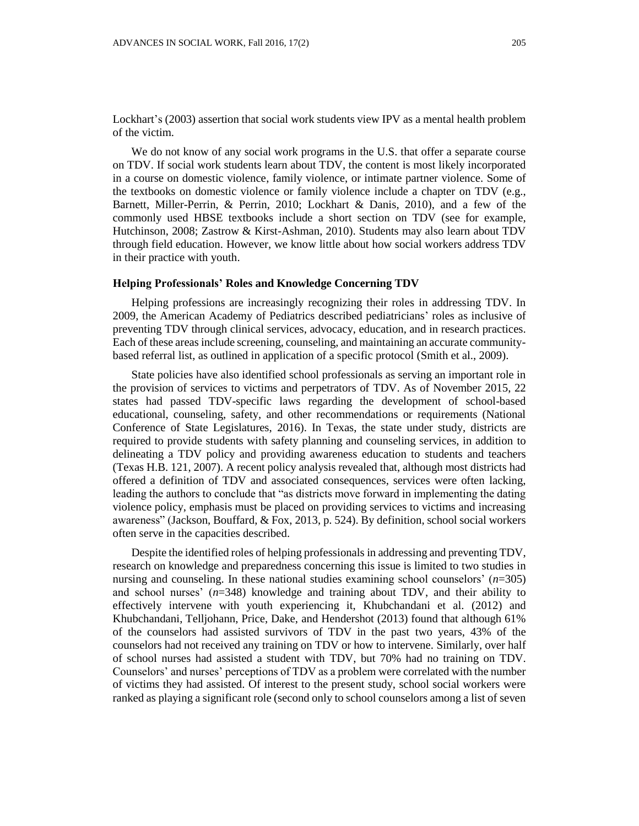Lockhart's (2003) assertion that social work students view IPV as a mental health problem of the victim.

We do not know of any social work programs in the U.S. that offer a separate course on TDV. If social work students learn about TDV, the content is most likely incorporated in a course on domestic violence, family violence, or intimate partner violence. Some of the textbooks on domestic violence or family violence include a chapter on TDV (e.g., Barnett, Miller-Perrin, & Perrin, 2010; Lockhart & Danis, 2010), and a few of the commonly used HBSE textbooks include a short section on TDV (see for example, Hutchinson, 2008; Zastrow & Kirst-Ashman, 2010). Students may also learn about TDV through field education. However, we know little about how social workers address TDV in their practice with youth.

#### **Helping Professionals' Roles and Knowledge Concerning TDV**

Helping professions are increasingly recognizing their roles in addressing TDV. In 2009, the American Academy of Pediatrics described pediatricians' roles as inclusive of preventing TDV through clinical services, advocacy, education, and in research practices. Each of these areas include screening, counseling, and maintaining an accurate communitybased referral list, as outlined in application of a specific protocol (Smith et al., 2009).

State policies have also identified school professionals as serving an important role in the provision of services to victims and perpetrators of TDV. As of November 2015, 22 states had passed TDV-specific laws regarding the development of school-based educational, counseling, safety, and other recommendations or requirements (National Conference of State Legislatures, 2016). In Texas, the state under study, districts are required to provide students with safety planning and counseling services, in addition to delineating a TDV policy and providing awareness education to students and teachers (Texas H.B. 121, 2007). A recent policy analysis revealed that, although most districts had offered a definition of TDV and associated consequences, services were often lacking, leading the authors to conclude that "as districts move forward in implementing the dating violence policy, emphasis must be placed on providing services to victims and increasing awareness" (Jackson, Bouffard, & Fox, 2013, p. 524). By definition, school social workers often serve in the capacities described.

Despite the identified roles of helping professionals in addressing and preventing TDV, research on knowledge and preparedness concerning this issue is limited to two studies in nursing and counseling. In these national studies examining school counselors' (*n*=305) and school nurses' (*n*=348) knowledge and training about TDV, and their ability to effectively intervene with youth experiencing it, Khubchandani et al. (2012) and Khubchandani, Telljohann, Price, Dake, and Hendershot (2013) found that although 61% of the counselors had assisted survivors of TDV in the past two years, 43% of the counselors had not received any training on TDV or how to intervene. Similarly, over half of school nurses had assisted a student with TDV, but 70% had no training on TDV. Counselors' and nurses' perceptions of TDV as a problem were correlated with the number of victims they had assisted. Of interest to the present study, school social workers were ranked as playing a significant role (second only to school counselors among a list of seven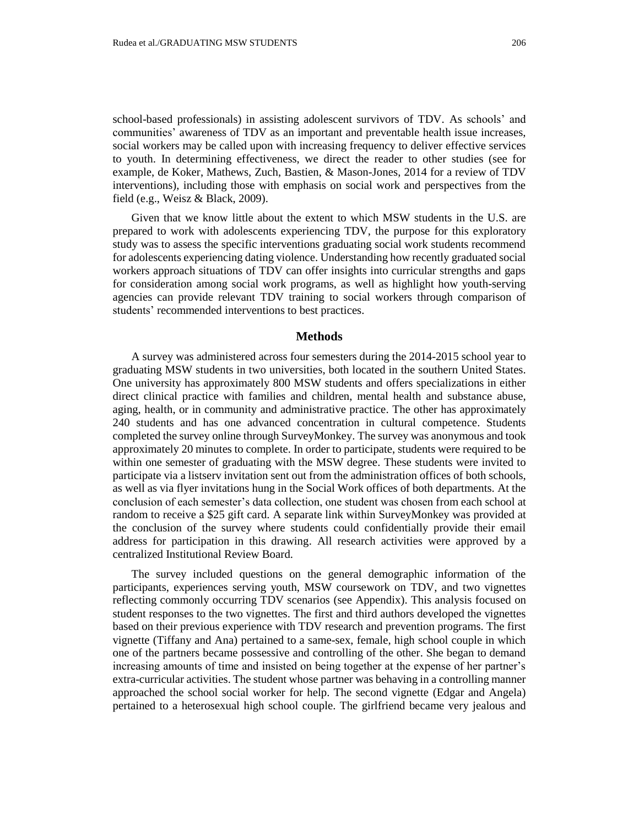school-based professionals) in assisting adolescent survivors of TDV. As schools' and communities' awareness of TDV as an important and preventable health issue increases, social workers may be called upon with increasing frequency to deliver effective services to youth. In determining effectiveness, we direct the reader to other studies (see for example, de Koker, Mathews, Zuch, Bastien, & Mason-Jones, 2014 for a review of TDV interventions), including those with emphasis on social work and perspectives from the field (e.g., Weisz & Black, 2009).

Given that we know little about the extent to which MSW students in the U.S. are prepared to work with adolescents experiencing TDV, the purpose for this exploratory study was to assess the specific interventions graduating social work students recommend for adolescents experiencing dating violence. Understanding how recently graduated social workers approach situations of TDV can offer insights into curricular strengths and gaps for consideration among social work programs, as well as highlight how youth-serving agencies can provide relevant TDV training to social workers through comparison of students' recommended interventions to best practices.

#### **Methods**

A survey was administered across four semesters during the 2014-2015 school year to graduating MSW students in two universities, both located in the southern United States. One university has approximately 800 MSW students and offers specializations in either direct clinical practice with families and children, mental health and substance abuse, aging, health, or in community and administrative practice. The other has approximately 240 students and has one advanced concentration in cultural competence. Students completed the survey online through SurveyMonkey. The survey was anonymous and took approximately 20 minutes to complete. In order to participate, students were required to be within one semester of graduating with the MSW degree. These students were invited to participate via a listserv invitation sent out from the administration offices of both schools, as well as via flyer invitations hung in the Social Work offices of both departments. At the conclusion of each semester's data collection, one student was chosen from each school at random to receive a \$25 gift card. A separate link within SurveyMonkey was provided at the conclusion of the survey where students could confidentially provide their email address for participation in this drawing. All research activities were approved by a centralized Institutional Review Board.

The survey included questions on the general demographic information of the participants, experiences serving youth, MSW coursework on TDV, and two vignettes reflecting commonly occurring TDV scenarios (see Appendix). This analysis focused on student responses to the two vignettes. The first and third authors developed the vignettes based on their previous experience with TDV research and prevention programs. The first vignette (Tiffany and Ana) pertained to a same-sex, female, high school couple in which one of the partners became possessive and controlling of the other. She began to demand increasing amounts of time and insisted on being together at the expense of her partner's extra-curricular activities. The student whose partner was behaving in a controlling manner approached the school social worker for help. The second vignette (Edgar and Angela) pertained to a heterosexual high school couple. The girlfriend became very jealous and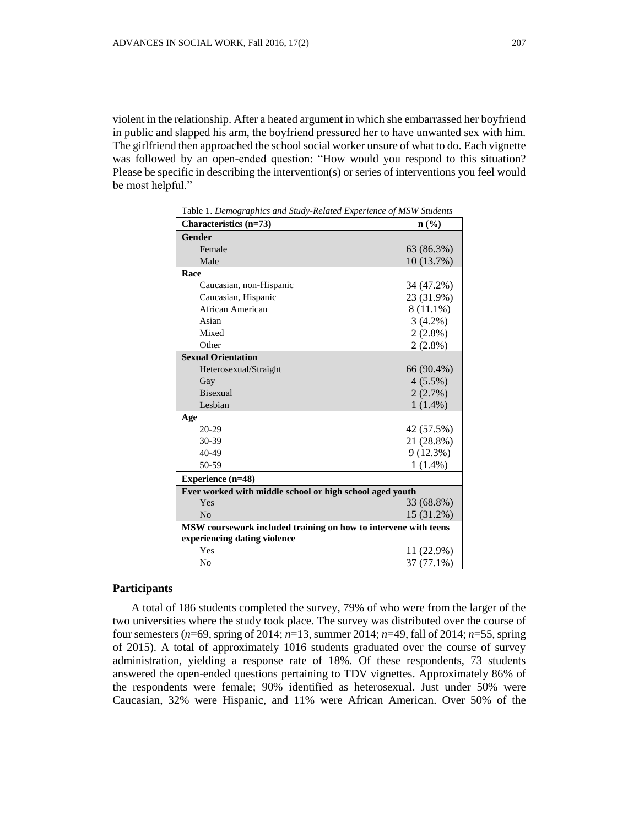violent in the relationship. After a heated argument in which she embarrassed her boyfriend in public and slapped his arm, the boyfriend pressured her to have unwanted sex with him. The girlfriend then approached the school social worker unsure of what to do. Each vignette was followed by an open-ended question: "How would you respond to this situation? Please be specific in describing the intervention(s) or series of interventions you feel would be most helpful."

| Characteristics (n=73)                                          | $n\left(\frac{0}{0}\right)$ |
|-----------------------------------------------------------------|-----------------------------|
| <b>Gender</b>                                                   |                             |
| Female                                                          | 63 (86.3%)                  |
| Male                                                            | 10(13.7%)                   |
| Race                                                            |                             |
| Caucasian, non-Hispanic                                         | 34 (47.2%)                  |
| Caucasian, Hispanic                                             | 23 (31.9%)                  |
| African American                                                | $8(11.1\%)$                 |
| Asian                                                           | $3(4.2\%)$                  |
| Mixed                                                           | $2(2.8\%)$                  |
| Other                                                           | $2(2.8\%)$                  |
| <b>Sexual Orientation</b>                                       |                             |
| Heterosexual/Straight                                           | 66 (90.4%)                  |
| Gay                                                             | $4(5.5\%)$                  |
| <b>Bisexual</b>                                                 | 2(2.7%)                     |
| Lesbian                                                         | $1(1.4\%)$                  |
| Age                                                             |                             |
| 20-29                                                           | 42 (57.5%)                  |
| 30-39                                                           | 21 (28.8%)                  |
| 40-49                                                           | 9(12.3%)                    |
| 50-59                                                           | $1(1.4\%)$                  |
| <b>Experience</b> (n=48)                                        |                             |
| Ever worked with middle school or high school aged youth        |                             |
| Yes                                                             | 33 (68.8%)                  |
| N <sub>o</sub>                                                  | 15 (31.2%)                  |
| MSW coursework included training on how to intervene with teens |                             |
| experiencing dating violence                                    |                             |
| Yes                                                             | 11(22.9%)                   |
| N <sub>o</sub>                                                  | 37 (77.1%)                  |
|                                                                 |                             |

Table 1. *Demographics and Study-Related Experience of MSW Students* 

#### **Participants**

A total of 186 students completed the survey, 79% of who were from the larger of the two universities where the study took place. The survey was distributed over the course of four semesters (*n*=69, spring of 2014; *n*=13, summer 2014; *n*=49, fall of 2014; *n*=55, spring of 2015). A total of approximately 1016 students graduated over the course of survey administration, yielding a response rate of 18%. Of these respondents, 73 students answered the open-ended questions pertaining to TDV vignettes. Approximately 86% of the respondents were female; 90% identified as heterosexual. Just under 50% were Caucasian, 32% were Hispanic, and 11% were African American. Over 50% of the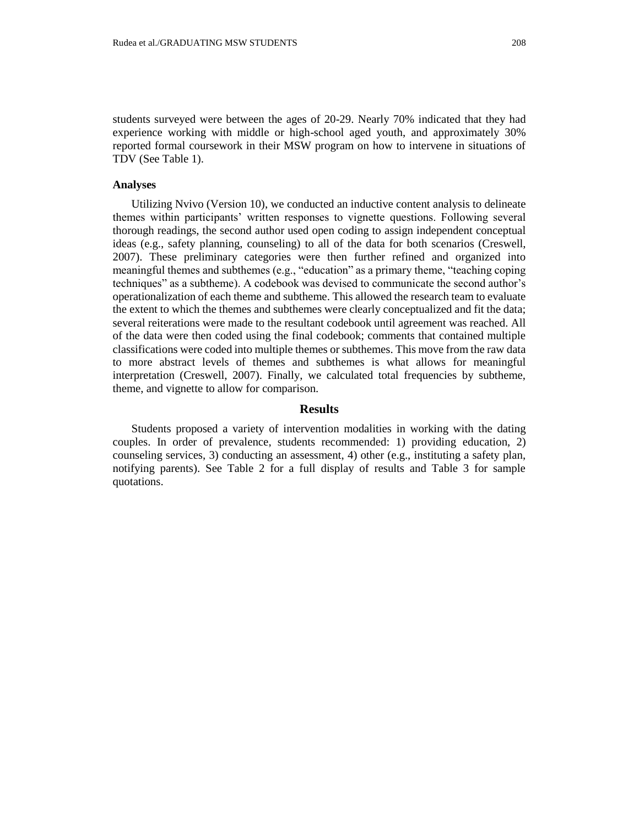students surveyed were between the ages of 20-29. Nearly 70% indicated that they had experience working with middle or high-school aged youth, and approximately 30% reported formal coursework in their MSW program on how to intervene in situations of TDV (See Table 1).

### **Analyses**

Utilizing Nvivo (Version 10), we conducted an inductive content analysis to delineate themes within participants' written responses to vignette questions. Following several thorough readings, the second author used open coding to assign independent conceptual ideas (e.g., safety planning, counseling) to all of the data for both scenarios (Creswell, 2007). These preliminary categories were then further refined and organized into meaningful themes and subthemes (e.g., "education" as a primary theme, "teaching coping techniques" as a subtheme). A codebook was devised to communicate the second author's operationalization of each theme and subtheme. This allowed the research team to evaluate the extent to which the themes and subthemes were clearly conceptualized and fit the data; several reiterations were made to the resultant codebook until agreement was reached. All of the data were then coded using the final codebook; comments that contained multiple classifications were coded into multiple themes or subthemes. This move from the raw data to more abstract levels of themes and subthemes is what allows for meaningful interpretation (Creswell, 2007). Finally, we calculated total frequencies by subtheme, theme, and vignette to allow for comparison.

### **Results**

Students proposed a variety of intervention modalities in working with the dating couples. In order of prevalence, students recommended: 1) providing education, 2) counseling services, 3) conducting an assessment, 4) other (e.g., instituting a safety plan, notifying parents). See Table 2 for a full display of results and Table 3 for sample quotations.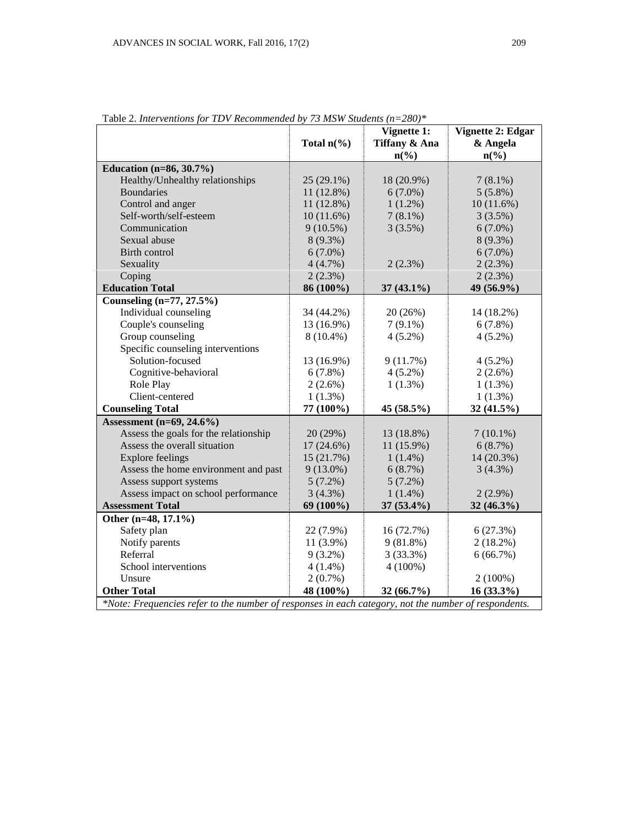|                                                                                                      | Total $n\frac{6}{6}$ | Vignette 1:<br>Tiffany & Ana<br>$n\left(\frac{0}{0}\right)$ | Vignette 2: Edgar<br>& Angela<br>$n\left(\frac{0}{0}\right)$ |  |  |  |
|------------------------------------------------------------------------------------------------------|----------------------|-------------------------------------------------------------|--------------------------------------------------------------|--|--|--|
| Education $(n=86, 30.7%)$                                                                            |                      |                                                             |                                                              |  |  |  |
| Healthy/Unhealthy relationships                                                                      | $25(29.1\%)$         | 18 (20.9%)                                                  | $7(8.1\%)$                                                   |  |  |  |
| <b>Boundaries</b>                                                                                    | $11(12.8\%)$         | $6(7.0\%)$                                                  | $5(5.8\%)$                                                   |  |  |  |
| Control and anger                                                                                    | $11(12.8\%)$         | $1(1.2\%)$                                                  | 10(11.6%)                                                    |  |  |  |
| Self-worth/self-esteem                                                                               | 10(11.6%)            | $7(8.1\%)$                                                  | 3(3.5%)                                                      |  |  |  |
| Communication                                                                                        | $9(10.5\%)$          | 3(3.5%)                                                     | $6(7.0\%)$                                                   |  |  |  |
| Sexual abuse                                                                                         | $8(9.3\%)$           |                                                             | 8 (9.3%)                                                     |  |  |  |
| Birth control                                                                                        | $6(7.0\%)$           |                                                             | $6(7.0\%)$                                                   |  |  |  |
| Sexuality                                                                                            | 4(4.7%)              | 2(2.3%)                                                     | 2(2.3%)                                                      |  |  |  |
| Coping                                                                                               | 2(2.3%)              |                                                             | 2(2.3%)                                                      |  |  |  |
| <b>Education Total</b>                                                                               | 86 (100%)            | $37(43.1\%)$                                                | 49 (56.9%)                                                   |  |  |  |
| Counseling (n=77, 27.5%)                                                                             |                      |                                                             |                                                              |  |  |  |
| Individual counseling                                                                                | 34 (44.2%)           | 20 (26%)                                                    | 14 (18.2%)                                                   |  |  |  |
| Couple's counseling                                                                                  | 13 (16.9%)           | $7(9.1\%)$                                                  | 6(7.8%)                                                      |  |  |  |
| Group counseling                                                                                     | $8(10.4\%)$          | $4(5.2\%)$                                                  | $4(5.2\%)$                                                   |  |  |  |
| Specific counseling interventions                                                                    |                      |                                                             |                                                              |  |  |  |
| Solution-focused                                                                                     | 13 (16.9%)           | 9(11.7%)                                                    | $4(5.2\%)$                                                   |  |  |  |
| Cognitive-behavioral                                                                                 | 6(7.8%)              | $4(5.2\%)$                                                  | $2(2.6\%)$                                                   |  |  |  |
| Role Play                                                                                            | $2(2.6\%)$           | $1(1.3\%)$                                                  | $1(1.3\%)$                                                   |  |  |  |
| Client-centered                                                                                      | $1(1.3\%)$           |                                                             | $1(1.3\%)$                                                   |  |  |  |
| <b>Counseling Total</b>                                                                              | 77 (100%)            | 45 (58.5%)                                                  | 32(41.5%)                                                    |  |  |  |
| Assessment $(n=69, 24.6\%)$                                                                          |                      |                                                             |                                                              |  |  |  |
| Assess the goals for the relationship                                                                | 20(29%)              | 13 (18.8%)                                                  | $7(10.1\%)$                                                  |  |  |  |
| Assess the overall situation                                                                         | $17(24.6\%)$         | 11 (15.9%)                                                  | 6(8.7%)                                                      |  |  |  |
| <b>Explore feelings</b>                                                                              | 15 (21.7%)           | $1(1.4\%)$                                                  | 14 (20.3%)                                                   |  |  |  |
| Assess the home environment and past                                                                 | $9(13.0\%)$          | 6(8.7%)                                                     | 3(4.3%)                                                      |  |  |  |
| Assess support systems                                                                               | $5(7.2\%)$           | $5(7.2\%)$                                                  |                                                              |  |  |  |
| Assess impact on school performance                                                                  | 3(4.3%)              | $1(1.4\%)$                                                  | $2(2.9\%)$                                                   |  |  |  |
| <b>Assessment Total</b>                                                                              | 69 (100%)            | $37(53.4\%)$                                                | $32(46.3\%)$                                                 |  |  |  |
| Other (n=48, 17.1%)                                                                                  |                      |                                                             |                                                              |  |  |  |
| Safety plan                                                                                          | 22 (7.9%)            | 16 (72.7%)                                                  | 6(27.3%)                                                     |  |  |  |
| Notify parents                                                                                       | $11(3.9\%)$          | 9(81.8%)                                                    | $2(18.2\%)$                                                  |  |  |  |
| Referral                                                                                             | $9(3.2\%)$           | 3(33.3%)                                                    | 6(66.7%)                                                     |  |  |  |
| School interventions                                                                                 | $4(1.4\%)$           | $4(100\%)$                                                  |                                                              |  |  |  |
| Unsure                                                                                               | $2(0.7\%)$           |                                                             | $2(100\%)$                                                   |  |  |  |
| <b>Other Total</b>                                                                                   | 48 (100%)            | 32 (66.7%)                                                  | $16(33.3\%)$                                                 |  |  |  |
| *Note: Frequencies refer to the number of responses in each category, not the number of respondents. |                      |                                                             |                                                              |  |  |  |

Table 2. *Interventions for TDV Recommended by 73 MSW Students (n=280)\**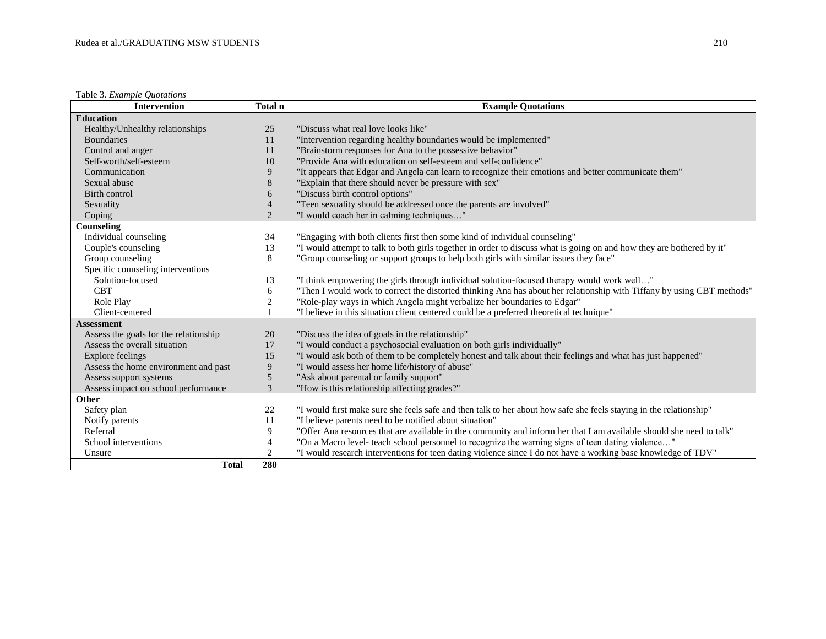Table 3. *Example Quotations*

| <b>Intervention</b>                   | Total n        | <b>Example Quotations</b>                                                                                              |
|---------------------------------------|----------------|------------------------------------------------------------------------------------------------------------------------|
| <b>Education</b>                      |                |                                                                                                                        |
| Healthy/Unhealthy relationships       | 25             | "Discuss what real love looks like"                                                                                    |
| <b>Boundaries</b>                     | 11             | "Intervention regarding healthy boundaries would be implemented"                                                       |
| Control and anger                     | 11             | "Brainstorm responses for Ana to the possessive behavior"                                                              |
| Self-worth/self-esteem                | 10             | "Provide Ana with education on self-esteem and self-confidence"                                                        |
| Communication                         | 9              | "It appears that Edgar and Angela can learn to recognize their emotions and better communicate them"                   |
| Sexual abuse                          | 8              | "Explain that there should never be pressure with sex"                                                                 |
| Birth control                         | 6              | "Discuss birth control options"                                                                                        |
| Sexuality                             | $\overline{4}$ | "Teen sexuality should be addressed once the parents are involved"                                                     |
| Coping                                | 2              | "I would coach her in calming techniques"                                                                              |
| Counseling                            |                |                                                                                                                        |
| Individual counseling                 | 34             | "Engaging with both clients first then some kind of individual counseling"                                             |
| Couple's counseling                   | 13             | "I would attempt to talk to both girls together in order to discuss what is going on and how they are bothered by it"  |
| Group counseling                      | 8              | "Group counseling or support groups to help both girls with similar issues they face"                                  |
| Specific counseling interventions     |                |                                                                                                                        |
| Solution-focused                      | 13             | "I think empowering the girls through individual solution-focused therapy would work well"                             |
| <b>CBT</b>                            | 6              | "Then I would work to correct the distorted thinking Ana has about her relationship with Tiffany by using CBT methods" |
| Role Play                             | $\overline{2}$ | "Role-play ways in which Angela might verbalize her boundaries to Edgar"                                               |
| Client-centered                       |                | "I believe in this situation client centered could be a preferred theoretical technique"                               |
| <b>Assessment</b>                     |                |                                                                                                                        |
| Assess the goals for the relationship | 20             | "Discuss the idea of goals in the relationship"                                                                        |
| Assess the overall situation          | 17             | "I would conduct a psychosocial evaluation on both girls individually"                                                 |
| <b>Explore feelings</b>               | 15             | "I would ask both of them to be completely honest and talk about their feelings and what has just happened"            |
| Assess the home environment and past  | 9              | "I would assess her home life/history of abuse"                                                                        |
| Assess support systems                | 5              | "Ask about parental or family support"                                                                                 |
| Assess impact on school performance   | 3              | "How is this relationship affecting grades?"                                                                           |
| Other                                 |                |                                                                                                                        |
| Safety plan                           | 22             | "I would first make sure she feels safe and then talk to her about how safe she feels staying in the relationship"     |
| Notify parents                        | 11             | "I believe parents need to be notified about situation"                                                                |
| Referral                              | 9              | "Offer Ana resources that are available in the community and inform her that I am available should she need to talk"   |
| School interventions                  | $\overline{4}$ | "On a Macro level- teach school personnel to recognize the warning signs of teen dating violence"                      |
| Unsure                                | $\overline{2}$ | "I would research interventions for teen dating violence since I do not have a working base knowledge of TDV"          |
| <b>Total</b>                          | 280            |                                                                                                                        |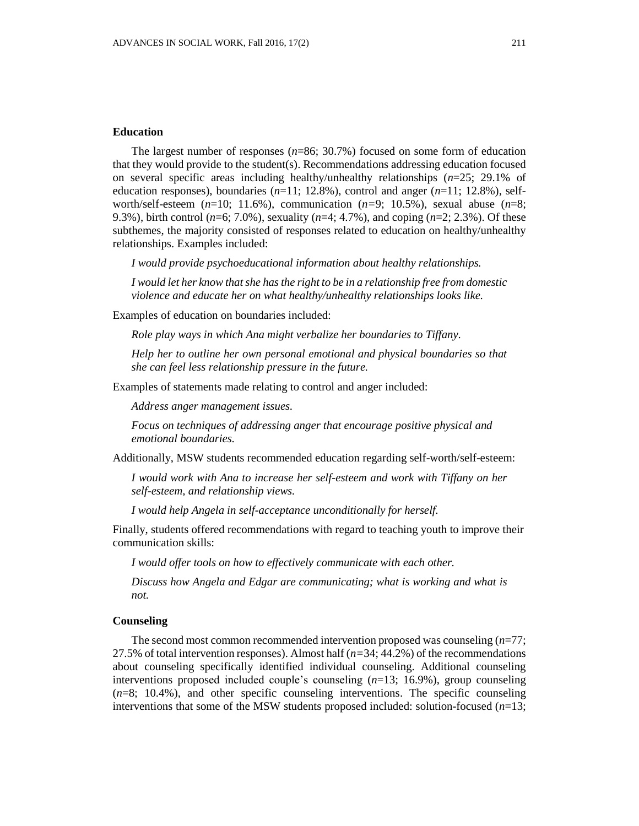## **Education**

The largest number of responses (*n*=86; 30.7%) focused on some form of education that they would provide to the student(s). Recommendations addressing education focused on several specific areas including healthy/unhealthy relationships (*n*=25; 29.1% of education responses), boundaries (*n*=11; 12.8%), control and anger (*n*=11; 12.8%), selfworth/self-esteem  $(n=10; 11.6\%)$ , communication  $(n=9; 10.5\%)$ , sexual abuse  $(n=8;$ 9.3%), birth control (*n*=6; 7.0%), sexuality (*n*=4; 4.7%), and coping (*n*=2; 2.3%). Of these subthemes, the majority consisted of responses related to education on healthy/unhealthy relationships. Examples included:

*I would provide psychoeducational information about healthy relationships.*

*I would let her know that she has the right to be in a relationship free from domestic violence and educate her on what healthy/unhealthy relationships looks like.*

Examples of education on boundaries included:

*Role play ways in which Ana might verbalize her boundaries to Tiffany.*

*Help her to outline her own personal emotional and physical boundaries so that she can feel less relationship pressure in the future.*

Examples of statements made relating to control and anger included:

*Address anger management issues.*

*Focus on techniques of addressing anger that encourage positive physical and emotional boundaries.*

Additionally, MSW students recommended education regarding self-worth/self-esteem:

*I would work with Ana to increase her self-esteem and work with Tiffany on her self-esteem, and relationship views.*

*I would help Angela in self-acceptance unconditionally for herself.*

Finally, students offered recommendations with regard to teaching youth to improve their communication skills:

*I would offer tools on how to effectively communicate with each other.*

*Discuss how Angela and Edgar are communicating; what is working and what is not.*

## **Counseling**

The second most common recommended intervention proposed was counseling (*n*=77; 27.5% of total intervention responses). Almost half (*n=*34; 44.2%) of the recommendations about counseling specifically identified individual counseling. Additional counseling interventions proposed included couple's counseling (*n*=13; 16.9%), group counseling (*n*=8; 10.4%), and other specific counseling interventions. The specific counseling interventions that some of the MSW students proposed included: solution-focused (*n*=13;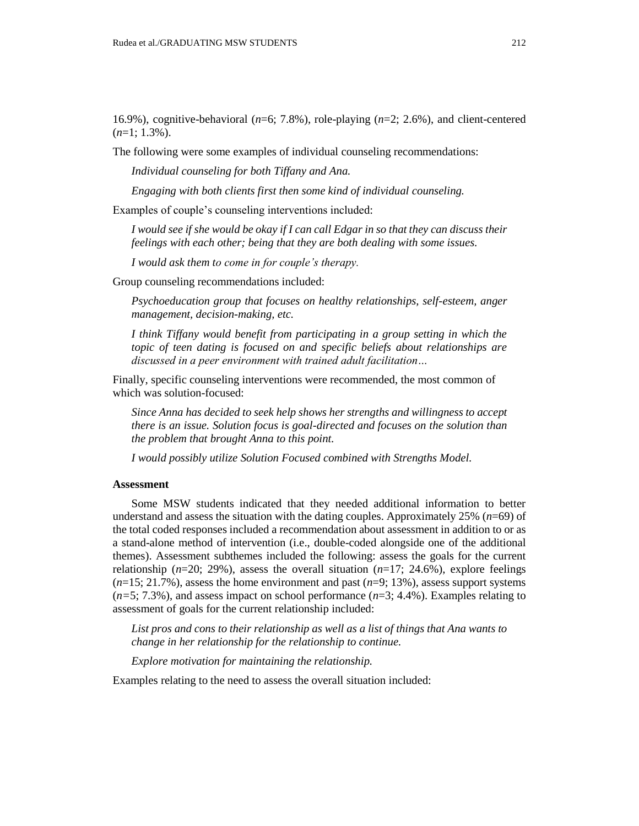16.9%), cognitive-behavioral (*n*=6; 7.8%), role-playing (*n*=2; 2.6%), and client-centered (*n*=1; 1.3%).

The following were some examples of individual counseling recommendations:

*Individual counseling for both Tiffany and Ana.*

*Engaging with both clients first then some kind of individual counseling.*

Examples of couple's counseling interventions included:

*I would see if she would be okay if I can call Edgar in so that they can discuss their feelings with each other; being that they are both dealing with some issues.*

*I would ask them to come in for couple's therapy.*

Group counseling recommendations included:

*Psychoeducation group that focuses on healthy relationships, self-esteem, anger management, decision-making, etc.*

*I think Tiffany would benefit from participating in a group setting in which the topic of teen dating is focused on and specific beliefs about relationships are discussed in a peer environment with trained adult facilitation…*

Finally, specific counseling interventions were recommended, the most common of which was solution-focused:

*Since Anna has decided to seek help shows her strengths and willingness to accept there is an issue. Solution focus is goal-directed and focuses on the solution than the problem that brought Anna to this point.*

*I would possibly utilize Solution Focused combined with Strengths Model.*

#### **Assessment**

Some MSW students indicated that they needed additional information to better understand and assess the situation with the dating couples. Approximately 25% (*n*=69) of the total coded responses included a recommendation about assessment in addition to or as a stand-alone method of intervention (i.e., double-coded alongside one of the additional themes). Assessment subthemes included the following: assess the goals for the current relationship  $(n=20; 29%)$ , assess the overall situation  $(n=17; 24.6%)$ , explore feelings  $(n=15; 21.7\%)$ , assess the home environment and past  $(n=9; 13\%)$ , assess support systems (*n=*5; 7.3%), and assess impact on school performance (*n*=3; 4.4%). Examples relating to assessment of goals for the current relationship included:

*List pros and cons to their relationship as well as a list of things that Ana wants to change in her relationship for the relationship to continue.*

*Explore motivation for maintaining the relationship.*

Examples relating to the need to assess the overall situation included: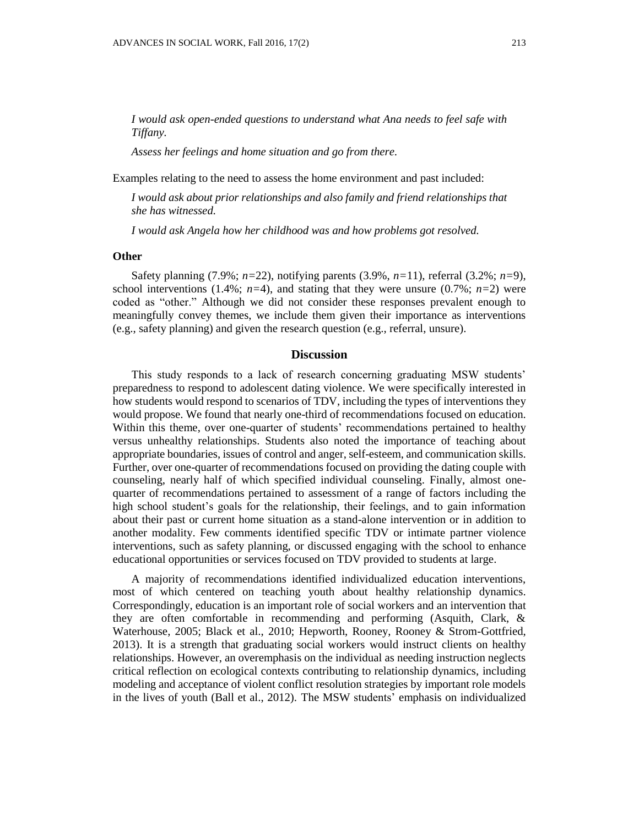*I would ask open-ended questions to understand what Ana needs to feel safe with Tiffany.*

*Assess her feelings and home situation and go from there.*

Examples relating to the need to assess the home environment and past included:

*I would ask about prior relationships and also family and friend relationships that she has witnessed.*

*I would ask Angela how her childhood was and how problems got resolved.*

### **Other**

Safety planning (7.9%; *n=*22), notifying parents (3.9%, *n=*11), referral (3.2%; *n=*9), school interventions (1.4%;  $n=4$ ), and stating that they were unsure (0.7%;  $n=2$ ) were coded as "other." Although we did not consider these responses prevalent enough to meaningfully convey themes, we include them given their importance as interventions (e.g., safety planning) and given the research question (e.g., referral, unsure).

## **Discussion**

This study responds to a lack of research concerning graduating MSW students' preparedness to respond to adolescent dating violence. We were specifically interested in how students would respond to scenarios of TDV, including the types of interventions they would propose. We found that nearly one-third of recommendations focused on education. Within this theme, over one-quarter of students' recommendations pertained to healthy versus unhealthy relationships. Students also noted the importance of teaching about appropriate boundaries, issues of control and anger, self-esteem, and communication skills. Further, over one-quarter of recommendations focused on providing the dating couple with counseling, nearly half of which specified individual counseling. Finally, almost onequarter of recommendations pertained to assessment of a range of factors including the high school student's goals for the relationship, their feelings, and to gain information about their past or current home situation as a stand-alone intervention or in addition to another modality. Few comments identified specific TDV or intimate partner violence interventions, such as safety planning, or discussed engaging with the school to enhance educational opportunities or services focused on TDV provided to students at large.

A majority of recommendations identified individualized education interventions, most of which centered on teaching youth about healthy relationship dynamics. Correspondingly, education is an important role of social workers and an intervention that they are often comfortable in recommending and performing (Asquith, Clark, & Waterhouse, 2005; Black et al., 2010; Hepworth, Rooney, Rooney & Strom-Gottfried, 2013). It is a strength that graduating social workers would instruct clients on healthy relationships. However, an overemphasis on the individual as needing instruction neglects critical reflection on ecological contexts contributing to relationship dynamics, including modeling and acceptance of violent conflict resolution strategies by important role models in the lives of youth (Ball et al., 2012). The MSW students' emphasis on individualized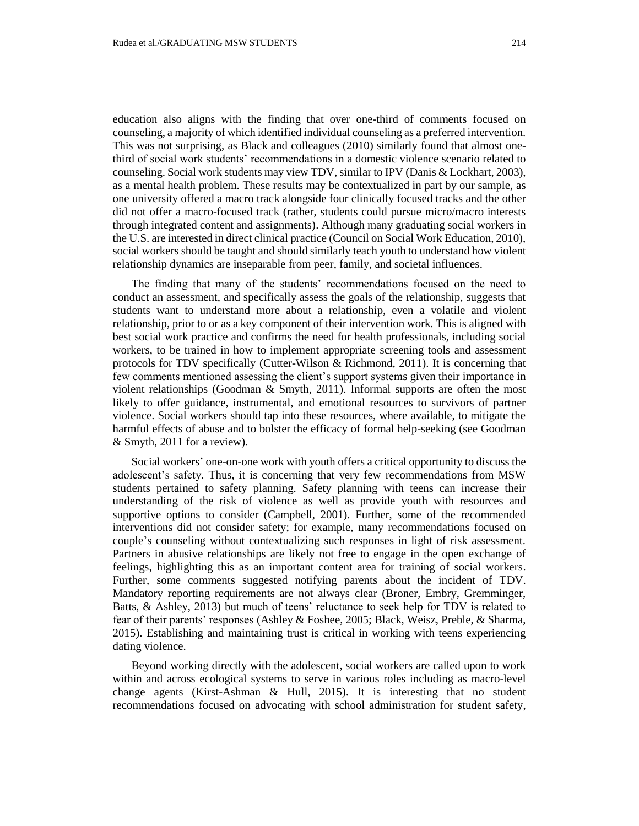education also aligns with the finding that over one-third of comments focused on counseling, a majority of which identified individual counseling as a preferred intervention. This was not surprising, as Black and colleagues (2010) similarly found that almost onethird of social work students' recommendations in a domestic violence scenario related to counseling. Social work students may view TDV, similar to IPV (Danis & Lockhart, 2003), as a mental health problem. These results may be contextualized in part by our sample, as one university offered a macro track alongside four clinically focused tracks and the other did not offer a macro-focused track (rather, students could pursue micro/macro interests through integrated content and assignments). Although many graduating social workers in the U.S. are interested in direct clinical practice (Council on Social Work Education, 2010), social workers should be taught and should similarly teach youth to understand how violent relationship dynamics are inseparable from peer, family, and societal influences.

The finding that many of the students' recommendations focused on the need to conduct an assessment, and specifically assess the goals of the relationship, suggests that students want to understand more about a relationship, even a volatile and violent relationship, prior to or as a key component of their intervention work. This is aligned with best social work practice and confirms the need for health professionals, including social workers, to be trained in how to implement appropriate screening tools and assessment protocols for TDV specifically (Cutter-Wilson & Richmond, 2011). It is concerning that few comments mentioned assessing the client's support systems given their importance in violent relationships (Goodman & Smyth, 2011). Informal supports are often the most likely to offer guidance, instrumental, and emotional resources to survivors of partner violence. Social workers should tap into these resources, where available, to mitigate the harmful effects of abuse and to bolster the efficacy of formal help-seeking (see Goodman & Smyth, 2011 for a review).

Social workers' one-on-one work with youth offers a critical opportunity to discuss the adolescent's safety. Thus, it is concerning that very few recommendations from MSW students pertained to safety planning. Safety planning with teens can increase their understanding of the risk of violence as well as provide youth with resources and supportive options to consider (Campbell, 2001). Further, some of the recommended interventions did not consider safety; for example, many recommendations focused on couple's counseling without contextualizing such responses in light of risk assessment. Partners in abusive relationships are likely not free to engage in the open exchange of feelings, highlighting this as an important content area for training of social workers. Further, some comments suggested notifying parents about the incident of TDV. Mandatory reporting requirements are not always clear (Broner, Embry, Gremminger, Batts, & Ashley, 2013) but much of teens' reluctance to seek help for TDV is related to fear of their parents' responses (Ashley & Foshee, 2005; Black, Weisz, Preble, & Sharma, 2015). Establishing and maintaining trust is critical in working with teens experiencing dating violence.

Beyond working directly with the adolescent, social workers are called upon to work within and across ecological systems to serve in various roles including as macro-level change agents (Kirst-Ashman & Hull, 2015). It is interesting that no student recommendations focused on advocating with school administration for student safety,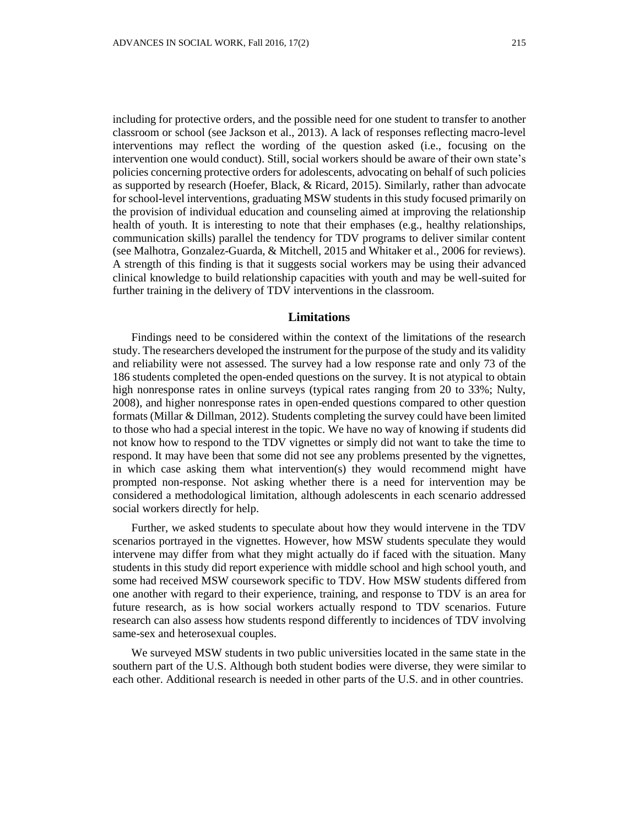including for protective orders, and the possible need for one student to transfer to another classroom or school (see Jackson et al., 2013). A lack of responses reflecting macro-level interventions may reflect the wording of the question asked (i.e., focusing on the intervention one would conduct). Still, social workers should be aware of their own state's policies concerning protective orders for adolescents, advocating on behalf of such policies as supported by research (Hoefer, Black, & Ricard, 2015). Similarly, rather than advocate for school-level interventions, graduating MSW students in this study focused primarily on the provision of individual education and counseling aimed at improving the relationship health of youth. It is interesting to note that their emphases (e.g., healthy relationships, communication skills) parallel the tendency for TDV programs to deliver similar content (see Malhotra, Gonzalez-Guarda, & Mitchell, 2015 and Whitaker et al., 2006 for reviews). A strength of this finding is that it suggests social workers may be using their advanced clinical knowledge to build relationship capacities with youth and may be well-suited for further training in the delivery of TDV interventions in the classroom.

## **Limitations**

Findings need to be considered within the context of the limitations of the research study. The researchers developed the instrument for the purpose of the study and its validity and reliability were not assessed. The survey had a low response rate and only 73 of the 186 students completed the open-ended questions on the survey. It is not atypical to obtain high nonresponse rates in online surveys (typical rates ranging from 20 to 33%; Nulty, 2008), and higher nonresponse rates in open-ended questions compared to other question formats (Millar & Dillman, 2012). Students completing the survey could have been limited to those who had a special interest in the topic. We have no way of knowing if students did not know how to respond to the TDV vignettes or simply did not want to take the time to respond. It may have been that some did not see any problems presented by the vignettes, in which case asking them what intervention(s) they would recommend might have prompted non-response. Not asking whether there is a need for intervention may be considered a methodological limitation, although adolescents in each scenario addressed social workers directly for help.

Further, we asked students to speculate about how they would intervene in the TDV scenarios portrayed in the vignettes. However, how MSW students speculate they would intervene may differ from what they might actually do if faced with the situation. Many students in this study did report experience with middle school and high school youth, and some had received MSW coursework specific to TDV. How MSW students differed from one another with regard to their experience, training, and response to TDV is an area for future research, as is how social workers actually respond to TDV scenarios. Future research can also assess how students respond differently to incidences of TDV involving same-sex and heterosexual couples.

We surveyed MSW students in two public universities located in the same state in the southern part of the U.S. Although both student bodies were diverse, they were similar to each other. Additional research is needed in other parts of the U.S. and in other countries.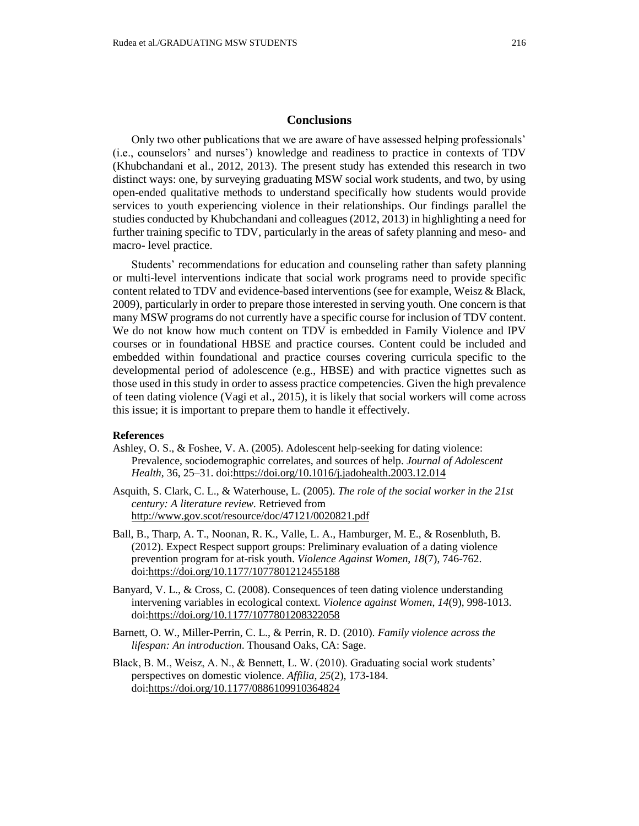## **Conclusions**

Only two other publications that we are aware of have assessed helping professionals' (i.e., counselors' and nurses') knowledge and readiness to practice in contexts of TDV (Khubchandani et al., 2012, 2013). The present study has extended this research in two distinct ways: one, by surveying graduating MSW social work students, and two, by using open-ended qualitative methods to understand specifically how students would provide services to youth experiencing violence in their relationships. Our findings parallel the studies conducted by Khubchandani and colleagues (2012, 2013) in highlighting a need for further training specific to TDV, particularly in the areas of safety planning and meso- and macro- level practice.

Students' recommendations for education and counseling rather than safety planning or multi-level interventions indicate that social work programs need to provide specific content related to TDV and evidence-based interventions (see for example, Weisz & Black, 2009), particularly in order to prepare those interested in serving youth. One concern is that many MSW programs do not currently have a specific course for inclusion of TDV content. We do not know how much content on TDV is embedded in Family Violence and IPV courses or in foundational HBSE and practice courses. Content could be included and embedded within foundational and practice courses covering curricula specific to the developmental period of adolescence (e.g., HBSE) and with practice vignettes such as those used in this study in order to assess practice competencies. Given the high prevalence of teen dating violence (Vagi et al., 2015), it is likely that social workers will come across this issue; it is important to prepare them to handle it effectively.

### **References**

- Ashley, O. S., & Foshee, V. A. (2005). Adolescent help-seeking for dating violence: Prevalence, sociodemographic correlates, and sources of help. *Journal of Adolescent Health,* 36, 25–31. doi[:https://doi.org/10.1016/j.jadohealth.2003.12.014](https://doi.org/10.1016/j.jadohealth.2003.12.014)
- Asquith, S. Clark, C. L., & Waterhouse, L. (2005). *[The role of the social worker in the 21st](http://libvolume7.xyz/physiotherapy/bsc/3rdyear/communityhealthsociologyandbiostatistics/roleofasocialworker/roleofasocialworkernotes1.pdf)  [century: A literature review.](http://libvolume7.xyz/physiotherapy/bsc/3rdyear/communityhealthsociologyandbiostatistics/roleofasocialworker/roleofasocialworkernotes1.pdf)* Retrieved from <http://www.gov.scot/resource/doc/47121/0020821.pdf>
- Ball, B., Tharp, A. T., Noonan, R. K., Valle, L. A., Hamburger, M. E., & Rosenbluth, B. (2012). Expect Respect support groups: Preliminary evaluation of a dating violence prevention program for at-risk youth. *Violence Against Women*, *18*(7), 746-762. doi[:https://doi.org/10.1177/1077801212455188](https://doi.org/10.1177/1077801212455188)
- Banyard, V. L., & Cross, C. (2008). Consequences of teen dating violence understanding intervening variables in ecological context. *Violence against Women*, *14*(9), 998-1013. doi[:https://doi.org/10.1177/1077801208322058](https://doi.org/10.1177/1077801208322058)
- Barnett, O. W., Miller-Perrin, C. L., & Perrin, R. D. (2010). *Family violence across the lifespan: An introduction*. Thousand Oaks, CA: Sage.
- Black, B. M., Weisz, A. N., & Bennett, L. W. (2010). Graduating social work students' perspectives on domestic violence. *Affilia*, *25*(2), 173-184. doi[:https://doi.org/10.1177/0886109910364824](https://doi.org/10.1177/0886109910364824)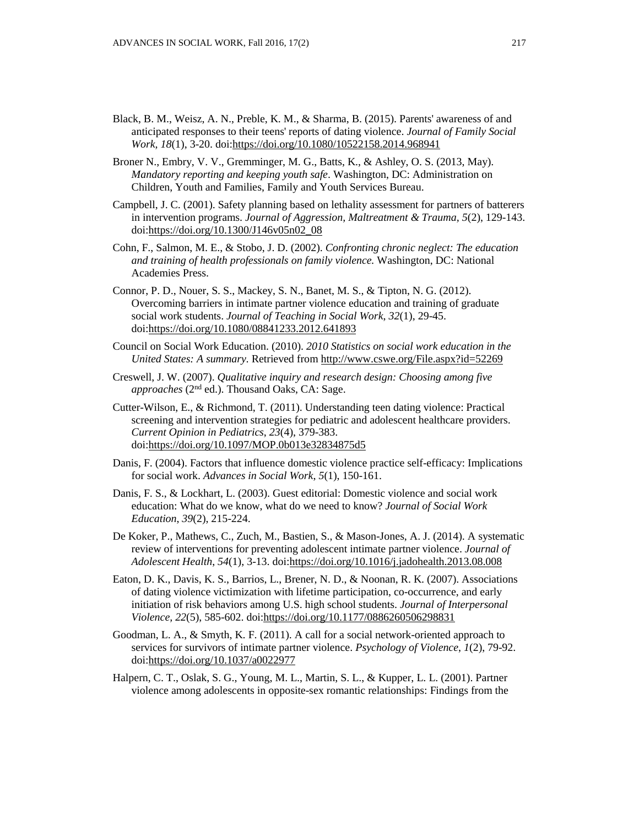- Black, B. M., Weisz, A. N., Preble, K. M., & Sharma, B. (2015). Parents' awareness of and anticipated responses to their teens' reports of dating violence. *Journal of Family Social Work, 18*(1), 3-20. doi[:https://doi.org/10.1080/10522158.2014.968941](https://doi.org/10.1080/10522158.2014.968941)
- Broner N., Embry, V. V., Gremminger, M. G., Batts, K., & Ashley, O. S. (2013, May). *Mandatory reporting and keeping youth safe*. Washington, DC: Administration on Children, Youth and Families, Family and Youth Services Bureau.
- Campbell, J. C. (2001). Safety planning based on lethality assessment for partners of batterers in intervention programs. *Journal of Aggression, Maltreatment & Trauma, 5*(2), 129-143. doi[:https://doi.org/10.1300/J146v05n02\\_08](https://doi.org/10.1300/J146v05n02_08)
- Cohn, F., Salmon, M. E., & Stobo, J. D. (2002). *Confronting chronic neglect: The education and training of health professionals on family violence.* Washington, DC: National Academies Press.
- Connor, P. D., Nouer, S. S., Mackey, S. N., Banet, M. S., & Tipton, N. G. (2012). Overcoming barriers in intimate partner violence education and training of graduate social work students. *Journal of Teaching in Social Work*, *32*(1), 29-45. doi[:https://doi.org/10.1080/08841233.2012.641893](https://doi.org/10.1080/08841233.2012.641893)
- Council on Social Work Education. (2010). *2010 Statistics on social work education in the United States: A summary.* Retrieved fro[m http://www.cswe.org/File.aspx?id=52269](http://www.cswe.org/File.aspx?id=52269)
- Creswell, J. W. (2007). *Qualitative inquiry and research design: Choosing among five approaches* (2nd ed.). Thousand Oaks, CA: Sage.
- Cutter-Wilson, E., & Richmond, T. (2011). Understanding teen dating violence: Practical screening and intervention strategies for pediatric and adolescent healthcare providers. *Current Opinion in Pediatrics*, *23*(4), 379-383. doi[:https://doi.org/10.1097/MOP.0b013e32834875d5](https://doi.org/10.1097/MOP.0b013e32834875d5)
- Danis, F. (2004). Factors that influence domestic violence practice self-efficacy: Implications for social work. *Advances in Social Work*, *5*(1), 150-161.
- Danis, F. S., & Lockhart, L. (2003). Guest editorial: Domestic violence and social work education: What do we know, what do we need to know? *Journal of Social Work Education*, *39*(2), 215-224.
- De Koker, P., Mathews, C., Zuch, M., Bastien, S., & Mason-Jones, A. J. (2014). A systematic review of interventions for preventing adolescent intimate partner violence. *Journal of Adolescent Health*, *54*(1), 3-13. doi[:https://doi.org/10.1016/j.jadohealth.2013.08.008](https://doi.org/10.1016/j.jadohealth.2013.08.008)
- Eaton, D. K., Davis, K. S., Barrios, L., Brener, N. D., & Noonan, R. K. (2007). Associations of dating violence victimization with lifetime participation, co-occurrence, and early initiation of risk behaviors among U.S. high school students. *Journal of Interpersonal Violence, 22*(5), 585-602. doi[:https://doi.org/10.1177/0886260506298831](https://doi.org/10.1177/0886260506298831)
- Goodman, L. A., & Smyth, K. F. (2011). A call for a social network-oriented approach to services for survivors of intimate partner violence. *Psychology of Violence*, *1*(2), 79-92. doi[:https://doi.org/10.1037/a0022977](https://doi.org/10.1037/a0022977)
- Halpern, C. T., Oslak, S. G., Young, M. L., Martin, S. L., & Kupper, L. L. (2001). Partner violence among adolescents in opposite-sex romantic relationships: Findings from the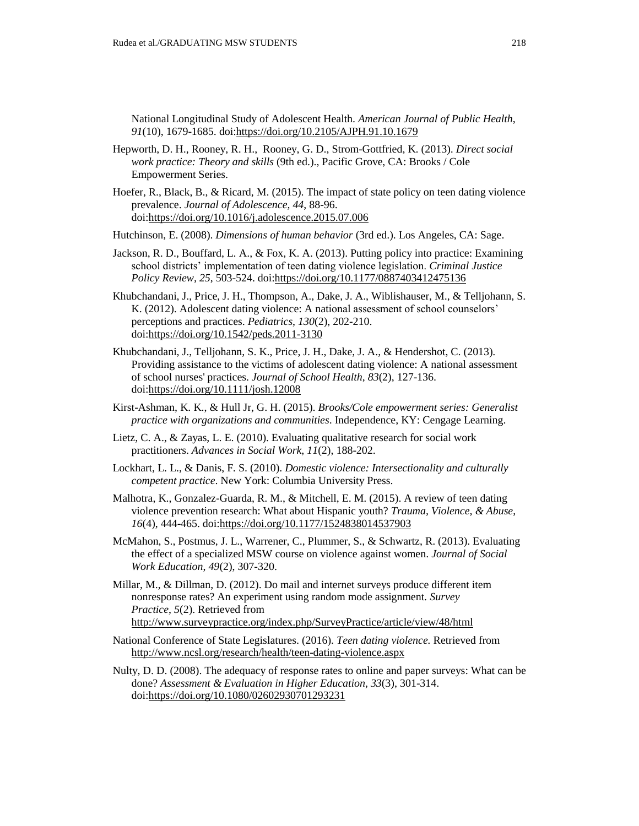National Longitudinal Study of Adolescent Health. *American Journal of Public Health*, *91*(10), 1679-1685. doi[:https://doi.org/10.2105/AJPH.91.10.1679](https://doi.org/10.2105/AJPH.91.10.1679)

- [Hepworth,](http://www.amazon.com/s/ref=dp_byline_sr_book_1?ie=UTF8&field-author=Dean+H.+Hepworth&search-alias=books&text=Dean+H.+Hepworth&sort=relevancerank) D. H., [Rooney,](http://www.amazon.com/s/ref=dp_byline_sr_book_2?ie=UTF8&field-author=Ronald+H.+Rooney&search-alias=books&text=Ronald+H.+Rooney&sort=relevancerank) R. H., [Rooney,](http://www.amazon.com/s/ref=dp_byline_sr_book_3?ie=UTF8&field-author=Glenda+Dewberry+Rooney&search-alias=books&text=Glenda+Dewberry+Rooney&sort=relevancerank) G. D., [Strom-Gottfried,](http://www.amazon.com/s/ref=dp_byline_sr_book_4?ie=UTF8&field-author=Kim+Strom-Gottfried&search-alias=books&text=Kim+Strom-Gottfried&sort=relevancerank) K. (2013). *Direct social work practice: Theory and skills* (9th ed.)., Pacific Grove, CA: Brooks / Cole Empowerment Series.
- Hoefer, R., Black, B., & Ricard, M. (2015). The impact of state policy on teen dating violence prevalence. *Journal of Adolescence, 44*, 88-96. doi[:https://doi.org/10.1016/j.adolescence.2015.07.006](https://doi.org/10.1016/j.adolescence.2015.07.006)
- Hutchinson, E. (2008). *Dimensions of human behavior* (3rd ed.). Los Angeles, CA: Sage.
- Jackson, R. D., Bouffard, L. A., & Fox, K. A. (2013). Putting policy into practice: Examining school districts' implementation of teen dating violence legislation. *Criminal Justice Policy Review, 25*, 503-524. doi[:https://doi.org/10.1177/0887403412475136](https://doi.org/10.1177/0887403412475136)
- Khubchandani, J., Price, J. H., Thompson, A., Dake, J. A., Wiblishauser, M., & Telljohann, S. K. (2012). Adolescent dating violence: A national assessment of school counselors' perceptions and practices. *Pediatrics*, *130*(2), 202-210. doi[:https://doi.org/10.1542/peds.2011-3130](https://doi.org/10.1542/peds.2011-3130)
- Khubchandani, J., Telljohann, S. K., Price, J. H., Dake, J. A., & Hendershot, C. (2013). Providing assistance to the victims of adolescent dating violence: A national assessment of school nurses' practices. *Journal of School Health*, *83*(2), 127-136. doi[:https://doi.org/10.1111/josh.12008](https://doi.org/10.1111/josh.12008)
- Kirst-Ashman, K. K., & Hull Jr, G. H. (2015). *Brooks/Cole empowerment series: Generalist practice with organizations and communities*. Independence, KY: Cengage Learning.
- Lietz, C. A., & Zayas, L. E. (2010). Evaluating qualitative research for social work practitioners. *Advances in Social Work*, *11*(2), 188-202.
- Lockhart, L. L., & Danis, F. S. (2010). *Domestic violence: Intersectionality and culturally competent practice*. New York: Columbia University Press.
- Malhotra, K., Gonzalez-Guarda, R. M., & Mitchell, E. M. (2015). A review of teen dating violence prevention research: What about Hispanic youth? *Trauma, Violence, & Abuse*, *16*(4), 444-465. doi[:https://doi.org/10.1177/1524838014537903](https://doi.org/10.1177/1524838014537903)
- McMahon, S., Postmus, J. L., Warrener, C., Plummer, S., & Schwartz, R. (2013). Evaluating the effect of a specialized MSW course on violence against women. *Journal of Social Work Education*, *49*(2), 307-320.
- Millar, M., & Dillman, D. (2012). Do mail and internet surveys produce different item nonresponse rates? An experiment using random mode assignment. *Survey Practice*, *5*(2). Retrieved from <http://www.surveypractice.org/index.php/SurveyPractice/article/view/48/html>
- National Conference of State Legislatures. (2016). *Teen dating violence.* Retrieved from <http://www.ncsl.org/research/health/teen-dating-violence.aspx>
- Nulty, D. D. (2008). The adequacy of response rates to online and paper surveys: What can be done? *Assessment & Evaluation in Higher Education, 33*(3), 301-314. doi[:https://doi.org/10.1080/02602930701293231](https://doi.org/10.1080/02602930701293231)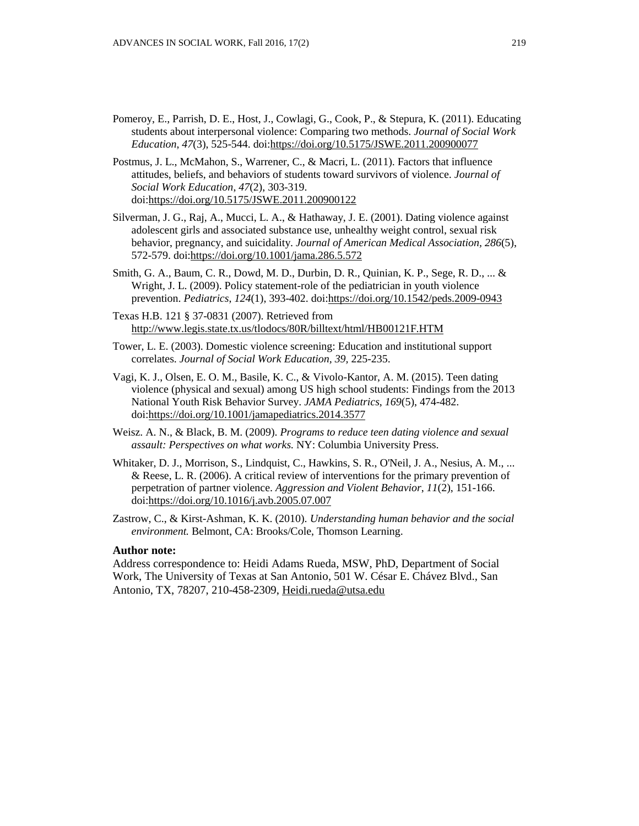- Pomeroy, E., Parrish, D. E., Host, J., Cowlagi, G., Cook, P., & Stepura, K. (2011). Educating students about interpersonal violence: Comparing two methods. *Journal of Social Work Education*, *47*(3), 525-544. doi[:https://doi.org/10.5175/JSWE.2011.200900077](https://doi.org/10.5175/JSWE.2011.200900077)
- Postmus, J. L., McMahon, S., Warrener, C., & Macri, L. (2011). Factors that influence attitudes, beliefs, and behaviors of students toward survivors of violence. *Journal of Social Work Education*, *47*(2), 303-319. doi[:https://doi.org/10.5175/JSWE.2011.200900122](https://doi.org/10.5175/JSWE.2011.200900122)
- Silverman, J. G., Raj, A., Mucci, L. A., & Hathaway, J. E. (2001). Dating violence against adolescent girls and associated substance use, unhealthy weight control, sexual risk behavior, pregnancy, and suicidality. *Journal of American Medical Association, 286*(5), 572-579. doi[:https://doi.org/10.1001/jama.286.5.572](https://doi.org/10.1001/jama.286.5.572)
- Smith, G. A., Baum, C. R., Dowd, M. D., Durbin, D. R., Quinian, K. P., Sege, R. D., ... & Wright, J. L. (2009). Policy statement-role of the pediatrician in youth violence prevention. *Pediatrics*, *124*(1), 393-402. doi[:https://doi.org/10.1542/peds.2009-0943](https://doi.org/10.1542/peds.2009-0943)
- Texas H.B. 121 § 37-0831 (2007). Retrieved from <http://www.legis.state.tx.us/tlodocs/80R/billtext/html/HB00121F.HTM>
- Tower, L. E. (2003). Domestic violence screening: Education and institutional support correlates. *Journal of Social Work Education, 39,* 225-235.
- Vagi, K. J., Olsen, E. O. M., Basile, K. C., & Vivolo-Kantor, A. M. (2015). Teen dating violence (physical and sexual) among US high school students: Findings from the 2013 National Youth Risk Behavior Survey. *JAMA Pediatrics*, *169*(5), 474-482. doi[:https://doi.org/10.1001/jamapediatrics.2014.3577](https://doi.org/10.1001/jamapediatrics.2014.3577)
- Weisz. A. N., & Black, B. M. (2009). *Programs to reduce teen dating violence and sexual assault: Perspectives on what works.* NY: Columbia University Press.
- Whitaker, D. J., Morrison, S., Lindquist, C., Hawkins, S. R., O'Neil, J. A., Nesius, A. M., ... & Reese, L. R. (2006). A critical review of interventions for the primary prevention of perpetration of partner violence. *Aggression and Violent Behavior*, *11*(2), 151-166. doi[:https://doi.org/10.1016/j.avb.2005.07.007](https://doi.org/10.1016/j.avb.2005.07.007)
- Zastrow, C., & Kirst-Ashman, K. K. (2010). *Understanding human behavior and the social environment.* Belmont, CA: Brooks/Cole, Thomson Learning.

#### **Author note:**

Address correspondence to: Heidi Adams Rueda, MSW, PhD, Department of Social Work, The University of Texas at San Antonio, 501 W. César E. Chávez Blvd., San Antonio, TX, 78207, 210-458-2309, [Heidi.rueda@utsa.edu](mailto:Heidi.rueda@utsa.edu)